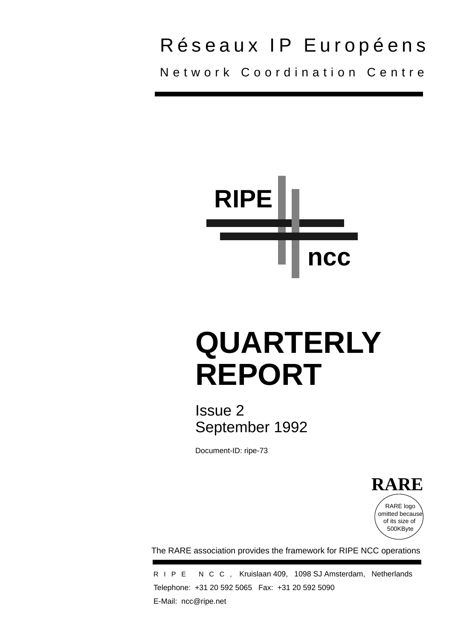## Réseaux IP Européens Network Coordination Centre

**RIPE ncc**

# **QUARTERLY REPORT**

Issue 2 September 1992

Document-ID: ripe-73

**RARE** RARE logo omitted because of its size of 500KByte

The RARE association provides the framework for RIPE NCC operations

RIPE NCC, Kruislaan 409, 1098 SJ Amsterdam, Netherlands Telephone: +31 20 592 5065 Fax: +31 20 592 5090 E-Mail: ncc@ripe.net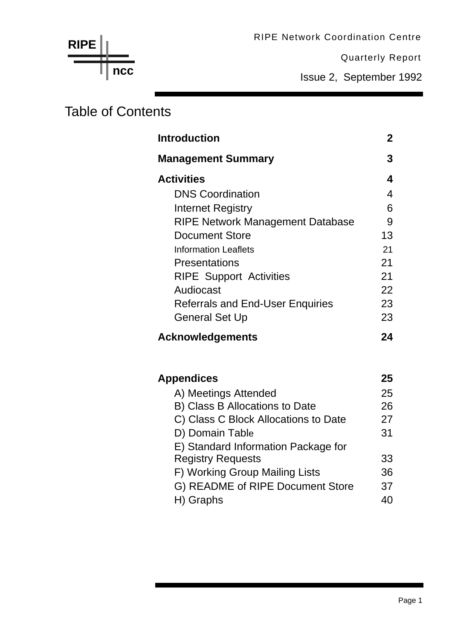Quarterly Report

Issue 2, September 1992

## Table of Contents

**ncc**

**RIPE**

| <b>Introduction</b>                     | $\mathbf{2}$ |
|-----------------------------------------|--------------|
| <b>Management Summary</b>               | 3            |
| <b>Activities</b>                       | 4            |
| <b>DNS Coordination</b>                 | 4            |
| Internet Registry                       | 6            |
| <b>RIPE Network Management Database</b> | 9            |
| <b>Document Store</b>                   | 13           |
| <b>Information Leaflets</b>             | 21           |
| <b>Presentations</b>                    | 21           |
| <b>RIPE Support Activities</b>          | 21           |
| Audiocast                               | 22           |
| <b>Referrals and End-User Enquiries</b> | 23           |
| <b>General Set Up</b>                   | 23           |
| <b>Acknowledgements</b>                 | 24           |
| <b>Appendices</b>                       | 25           |
| A) Meetings Attended                    | 25           |
| B) Class B Allocations to Date          | 26           |
| C) Class C Block Allocations to Date    | 27           |
| D) Domain Table                         | 31           |
| E) Standard Information Package for     |              |
| <b>Registry Requests</b>                | 33           |
| F) Working Group Mailing Lists          | 36           |
| G) README of RIPE Document Store        | 37           |
| H) Graphs                               | 40           |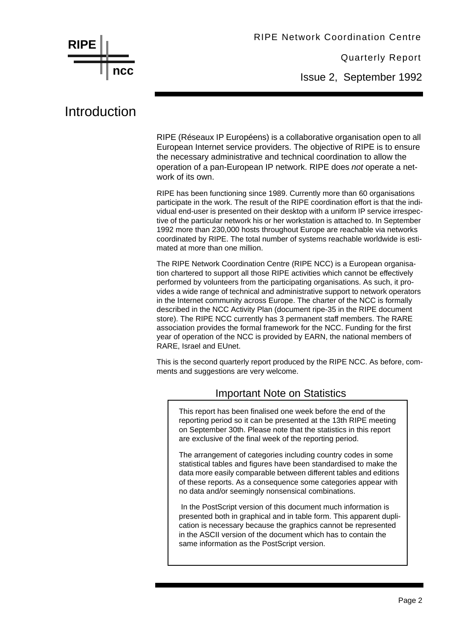**RIPE ncc**

Quarterly Report

Issue 2, September 1992

## Introduction

RIPE (Réseaux IP Européens) is a collaborative organisation open to all European Internet service providers. The objective of RIPE is to ensure the necessary administrative and technical coordination to allow the operation of a pan-European IP network. RIPE does *not* operate a network of its own.

RIPE has been functioning since 1989. Currently more than 60 organisations participate in the work. The result of the RIPE coordination effort is that the individual end-user is presented on their desktop with a uniform IP service irrespective of the particular network his or her workstation is attached to. In September 1992 more than 230,000 hosts throughout Europe are reachable via networks coordinated by RIPE. The total number of systems reachable worldwide is estimated at more than one million.

The RIPE Network Coordination Centre (RIPE NCC) is a European organisation chartered to support all those RIPE activities which cannot be effectively performed by volunteers from the participating organisations. As such, it provides a wide range of technical and administrative support to network operators in the Internet community across Europe. The charter of the NCC is formally described in the NCC Activity Plan (document ripe-35 in the RIPE document store). The RIPE NCC currently has 3 permanent staff members. The RARE association provides the formal framework for the NCC. Funding for the first year of operation of the NCC is provided by EARN, the national members of RARE, Israel and EUnet.

This is the second quarterly report produced by the RIPE NCC. As before, comments and suggestions are very welcome.

#### Important Note on Statistics

This report has been finalised one week before the end of the reporting period so it can be presented at the 13th RIPE meeting on September 30th. Please note that the statistics in this report are exclusive of the final week of the reporting period.

The arrangement of categories including country codes in some statistical tables and figures have been standardised to make the data more easily comparable between different tables and editions of these reports. As a consequence some categories appear with no data and/or seemingly nonsensical combinations.

 In the PostScript version of this document much information is presented both in graphical and in table form. This apparent duplication is necessary because the graphics cannot be represented in the ASCII version of the document which has to contain the same information as the PostScript version.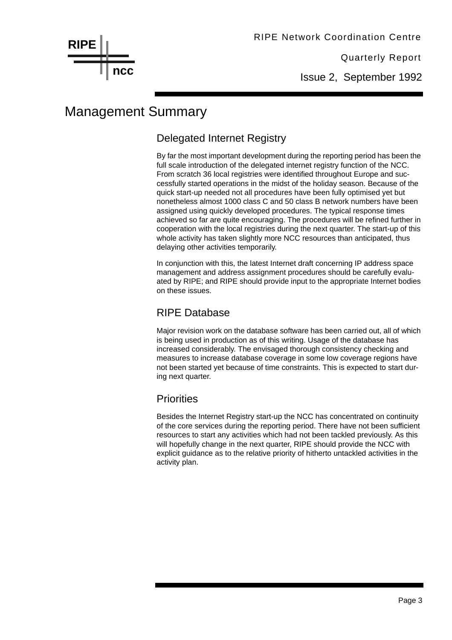Issue 2, September 1992

## Management Summary

#### Delegated Internet Registry

By far the most important development during the reporting period has been the full scale introduction of the delegated internet registry function of the NCC. From scratch 36 local registries were identified throughout Europe and successfully started operations in the midst of the holiday season. Because of the quick start-up needed not all procedures have been fully optimised yet but nonetheless almost 1000 class C and 50 class B network numbers have been assigned using quickly developed procedures. The typical response times achieved so far are quite encouraging. The procedures will be refined further in cooperation with the local registries during the next quarter. The start-up of this whole activity has taken slightly more NCC resources than anticipated, thus delaying other activities temporarily.

In conjunction with this, the latest Internet draft concerning IP address space management and address assignment procedures should be carefully evaluated by RIPE; and RIPE should provide input to the appropriate Internet bodies on these issues.

#### RIPE Database

Major revision work on the database software has been carried out, all of which is being used in production as of this writing. Usage of the database has increased considerably. The envisaged thorough consistency checking and measures to increase database coverage in some low coverage regions have not been started yet because of time constraints. This is expected to start during next quarter.

#### **Priorities**

Besides the Internet Registry start-up the NCC has concentrated on continuity of the core services during the reporting period. There have not been sufficient resources to start any activities which had not been tackled previously. As this will hopefully change in the next quarter, RIPE should provide the NCC with explicit guidance as to the relative priority of hitherto untackled activities in the activity plan.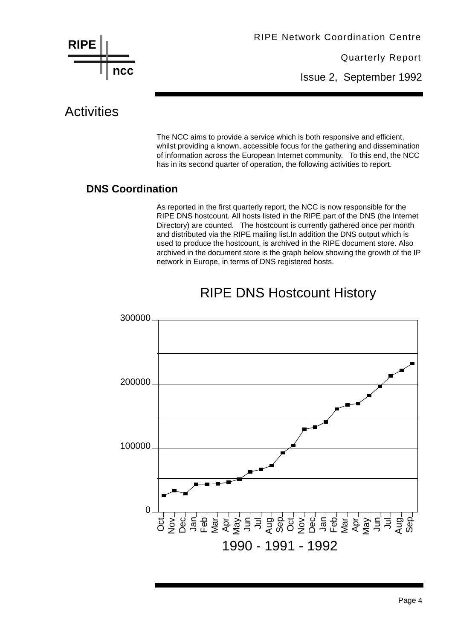

Issue 2, September 1992

## **Activities**

The NCC aims to provide a service which is both responsive and efficient, whilst providing a known, accessible focus for the gathering and dissemination of information across the European Internet community. To this end, the NCC has in its second quarter of operation, the following activities to report.

#### **DNS Coordination**

As reported in the first quarterly report, the NCC is now responsible for the RIPE DNS hostcount. All hosts listed in the RIPE part of the DNS (the Internet Directory) are counted. The hostcount is currently gathered once per month and distributed via the RIPE mailing list.In addition the DNS output which is used to produce the hostcount, is archived in the RIPE document store. Also archived in the document store is the graph below showing the growth of the IP network in Europe, in terms of DNS registered hosts.



## RIPE DNS Hostcount History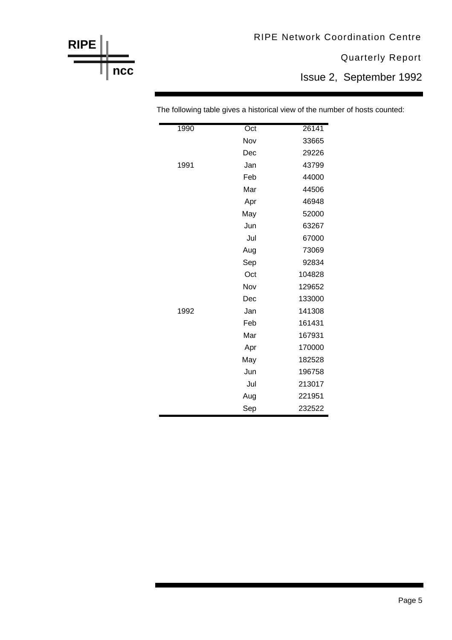Quarterly Report

Issue 2, September 1992

| 1990 | Oct | 26141  |
|------|-----|--------|
|      | Nov | 33665  |
|      | Dec | 29226  |
| 1991 | Jan | 43799  |
|      | Feb | 44000  |
|      | Mar | 44506  |
|      | Apr | 46948  |
|      | May | 52000  |
|      | Jun | 63267  |
|      | Jul | 67000  |
|      | Aug | 73069  |
|      | Sep | 92834  |
|      | Oct | 104828 |
|      | Nov | 129652 |
|      | Dec | 133000 |
| 1992 | Jan | 141308 |
|      | Feb | 161431 |
|      | Mar | 167931 |
|      | Apr | 170000 |
|      | May | 182528 |
|      | Jun | 196758 |
|      | Jul | 213017 |
|      | Aug | 221951 |
|      | Sep | 232522 |

**RIPE**

**ncc**

The following table gives a historical view of the number of hosts counted: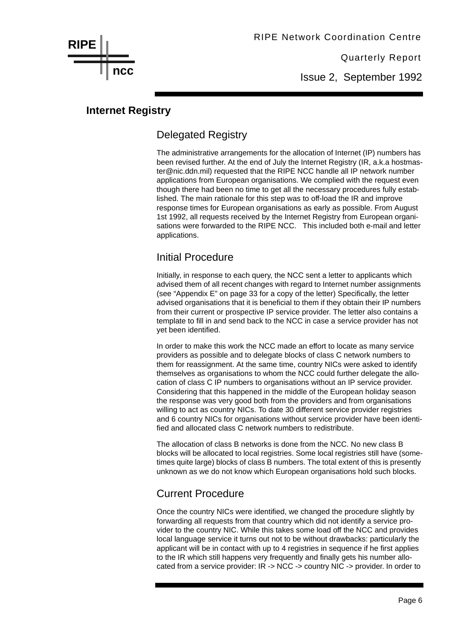Issue 2, September 1992

#### **Internet Registry**

**ncc**

**RIPE**

#### Delegated Registry

The administrative arrangements for the allocation of Internet (IP) numbers has been revised further. At the end of July the Internet Registry (IR, a.k.a hostmaster@nic.ddn.mil) requested that the RIPE NCC handle all IP network number applications from European organisations. We complied with the request even though there had been no time to get all the necessary procedures fully established. The main rationale for this step was to off-load the IR and improve response times for European organisations as early as possible. From August 1st 1992, all requests received by the Internet Registry from European organisations were forwarded to the RIPE NCC. This included both e-mail and letter applications.

#### Initial Procedure

Initially, in response to each query, the NCC sent a letter to applicants which advised them of all recent changes with regard to Internet number assignments (see "Appendix E" on page 33 for a copy of the letter) Specifically, the letter advised organisations that it is beneficial to them if they obtain their IP numbers from their current or prospective IP service provider. The letter also contains a template to fill in and send back to the NCC in case a service provider has not yet been identified.

In order to make this work the NCC made an effort to locate as many service providers as possible and to delegate blocks of class C network numbers to them for reassignment. At the same time, country NICs were asked to identify themselves as organisations to whom the NCC could further delegate the allocation of class C IP numbers to organisations without an IP service provider. Considering that this happened in the middle of the European holiday season the response was very good both from the providers and from organisations willing to act as country NICs. To date 30 different service provider registries and 6 country NICs for organisations without service provider have been identified and allocated class C network numbers to redistribute.

The allocation of class B networks is done from the NCC. No new class B blocks will be allocated to local registries. Some local registries still have (sometimes quite large) blocks of class B numbers. The total extent of this is presently unknown as we do not know which European organisations hold such blocks.

#### Current Procedure

Once the country NICs were identified, we changed the procedure slightly by forwarding all requests from that country which did not identify a service provider to the country NIC. While this takes some load off the NCC and provides local language service it turns out not to be without drawbacks: particularly the applicant will be in contact with up to 4 registries in sequence if he first applies to the IR which still happens very frequently and finally gets his number allocated from a service provider: IR -> NCC -> country NIC -> provider. In order to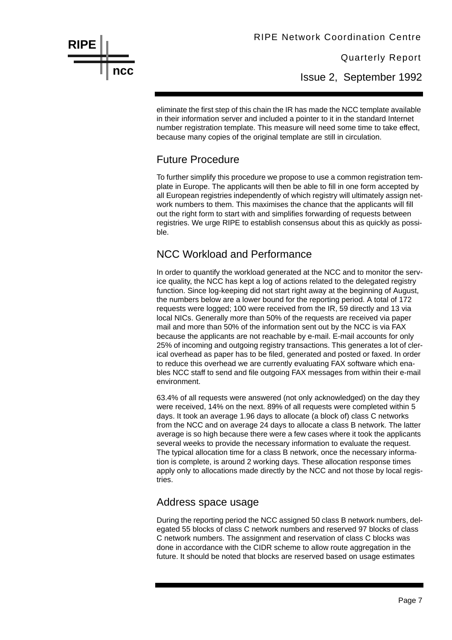Issue 2, September 1992

eliminate the first step of this chain the IR has made the NCC template available in their information server and included a pointer to it in the standard Internet number registration template. This measure will need some time to take effect, because many copies of the original template are still in circulation.

#### Future Procedure

**RIPE**

**ncc**

To further simplify this procedure we propose to use a common registration template in Europe. The applicants will then be able to fill in one form accepted by all European registries independently of which registry will ultimately assign network numbers to them. This maximises the chance that the applicants will fill out the right form to start with and simplifies forwarding of requests between registries. We urge RIPE to establish consensus about this as quickly as possible.

#### NCC Workload and Performance

In order to quantify the workload generated at the NCC and to monitor the service quality, the NCC has kept a log of actions related to the delegated registry function. Since log-keeping did not start right away at the beginning of August, the numbers below are a lower bound for the reporting period. A total of 172 requests were logged; 100 were received from the IR, 59 directly and 13 via local NICs. Generally more than 50% of the requests are received via paper mail and more than 50% of the information sent out by the NCC is via FAX because the applicants are not reachable by e-mail. E-mail accounts for only 25% of incoming and outgoing registry transactions. This generates a lot of clerical overhead as paper has to be filed, generated and posted or faxed. In order to reduce this overhead we are currently evaluating FAX software which enables NCC staff to send and file outgoing FAX messages from within their e-mail environment.

63.4% of all requests were answered (not only acknowledged) on the day they were received, 14% on the next. 89% of all requests were completed within 5 days. It took an average 1.96 days to allocate (a block of) class C networks from the NCC and on average 24 days to allocate a class B network. The latter average is so high because there were a few cases where it took the applicants several weeks to provide the necessary information to evaluate the request. The typical allocation time for a class B network, once the necessary information is complete, is around 2 working days. These allocation response times apply only to allocations made directly by the NCC and not those by local registries.

#### Address space usage

During the reporting period the NCC assigned 50 class B network numbers, delegated 55 blocks of class C network numbers and reserved 97 blocks of class C network numbers. The assignment and reservation of class C blocks was done in accordance with the CIDR scheme to allow route aggregation in the future. It should be noted that blocks are reserved based on usage estimates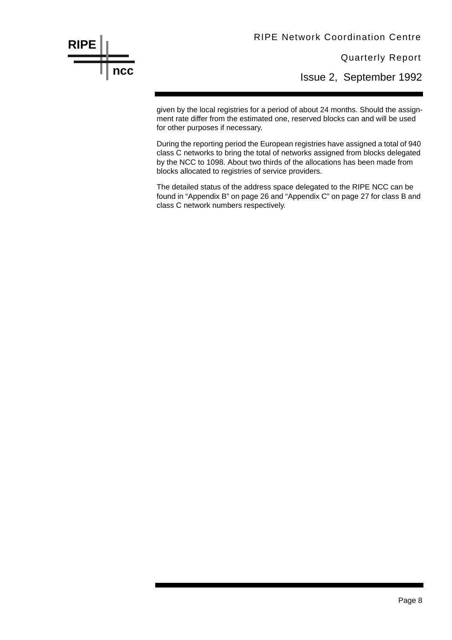Quarterly Report

Issue 2, September 1992

given by the local registries for a period of about 24 months. Should the assignment rate differ from the estimated one, reserved blocks can and will be used for other purposes if necessary.

**RIPE**

**ncc**

During the reporting period the European registries have assigned a total of 940 class C networks to bring the total of networks assigned from blocks delegated by the NCC to 1098. About two thirds of the allocations has been made from blocks allocated to registries of service providers.

The detailed status of the address space delegated to the RIPE NCC can be found in "Appendix B" on page 26 and "Appendix C" on page 27 for class B and class C network numbers respectively.

#### Page 8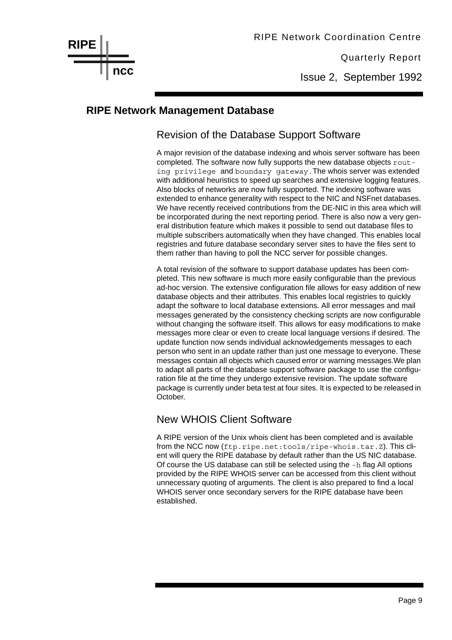Issue 2, September 1992

#### **RIPE Network Management Database**

#### Revision of the Database Support Software

A major revision of the database indexing and whois server software has been completed. The software now fully supports the new database objects routing privilege and boundary gateway.The whois server was extended with additional heuristics to speed up searches and extensive logging features. Also blocks of networks are now fully supported. The indexing software was extended to enhance generality with respect to the NIC and NSFnet databases. We have recently received contributions from the DE-NIC in this area which will be incorporated during the next reporting period. There is also now a very general distribution feature which makes it possible to send out database files to multiple subscribers automatically when they have changed. This enables local registries and future database secondary server sites to have the files sent to them rather than having to poll the NCC server for possible changes.

A total revision of the software to support database updates has been completed. This new software is much more easily configurable than the previous ad-hoc version. The extensive configuration file allows for easy addition of new database objects and their attributes. This enables local registries to quickly adapt the software to local database extensions. All error messages and mail messages generated by the consistency checking scripts are now configurable without changing the software itself. This allows for easy modifications to make messages more clear or even to create local language versions if desired. The update function now sends individual acknowledgements messages to each person who sent in an update rather than just one message to everyone. These messages contain all objects which caused error or warning messages.We plan to adapt all parts of the database support software package to use the configuration file at the time they undergo extensive revision. The update software package is currently under beta test at four sites. It is expected to be released in October.

#### New WHOIS Client Software

A RIPE version of the Unix whois client has been completed and is available from the NCC now (ftp.ripe.net:tools/ripe-whois.tar.Z). This client will query the RIPE database by default rather than the US NIC database. Of course the US database can still be selected using the  $-h$  flag All options provided by the RIPE WHOIS server can be accessed from this client without unnecessary quoting of arguments. The client is also prepared to find a local WHOIS server once secondary servers for the RIPE database have been established.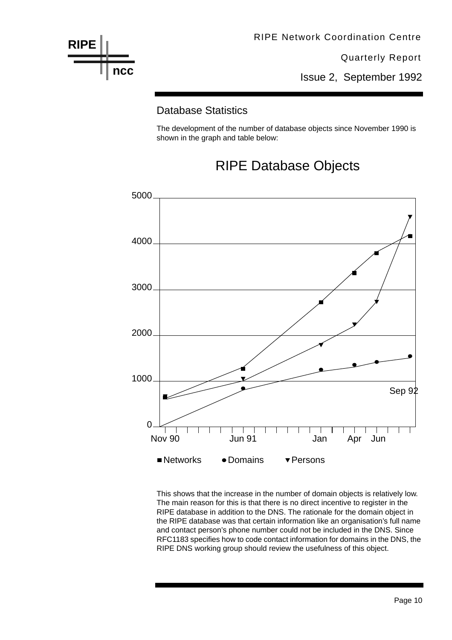

Issue 2, September 1992

#### Database Statistics

The development of the number of database objects since November 1990 is shown in the graph and table below:





This shows that the increase in the number of domain objects is relatively low. The main reason for this is that there is no direct incentive to register in the RIPE database in addition to the DNS. The rationale for the domain object in the RIPE database was that certain information like an organisation's full name and contact person's phone number could not be included in the DNS. Since RFC1183 specifies how to code contact information for domains in the DNS, the RIPE DNS working group should review the usefulness of this object.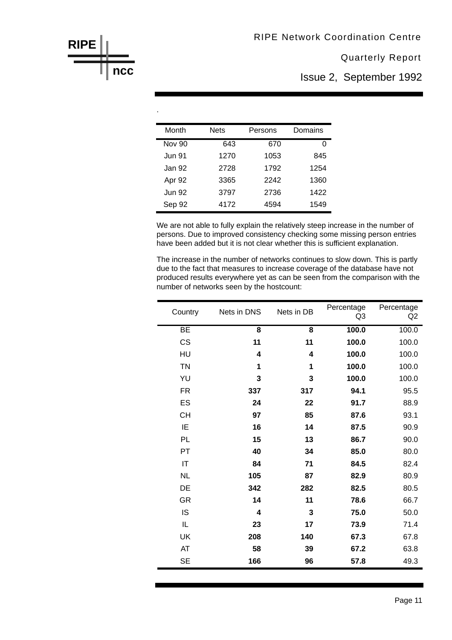Issue 2, September 1992

| Month         | <b>Nets</b> | Persons | Domains |
|---------------|-------------|---------|---------|
| <b>Nov 90</b> | 643         | 670     | 0       |
| <b>Jun 91</b> | 1270        | 1053    | 845     |
| Jan 92        | 2728        | 1792    | 1254    |
| Apr 92        | 3365        | 2242    | 1360    |
| <b>Jun 92</b> | 3797        | 2736    | 1422    |
| Sep 92        | 4172        | 4594    | 1549    |

We are not able to fully explain the relatively steep increase in the number of persons. Due to improved consistency checking some missing person entries have been added but it is not clear whether this is sufficient explanation.

The increase in the number of networks continues to slow down. This is partly due to the fact that measures to increase coverage of the database have not produced results everywhere yet as can be seen from the comparison with the number of networks seen by the hostcount:

| Country                | Nets in DNS             | Nets in DB              | Percentage<br>Q <sub>3</sub> | Percentage<br>Q2 |
|------------------------|-------------------------|-------------------------|------------------------------|------------------|
| BE                     | $\overline{\mathbf{8}}$ | $\overline{\mathbf{8}}$ | 100.0                        | 100.0            |
| CS                     | 11                      | 11                      | 100.0                        | 100.0            |
| HU                     | 4                       | 4                       | 100.0                        | 100.0            |
| <b>TN</b>              | 1                       | 1                       | 100.0                        | 100.0            |
| YU                     | 3                       | 3                       | 100.0                        | 100.0            |
| <b>FR</b>              | 337                     | 317                     | 94.1                         | 95.5             |
| ES                     | 24                      | 22                      | 91.7                         | 88.9             |
| <b>CH</b>              | 97                      | 85                      | 87.6                         | 93.1             |
| IE                     | 16                      | 14                      | 87.5                         | 90.9             |
| PL                     | 15                      | 13                      | 86.7                         | 90.0             |
| PT                     | 40                      | 34                      | 85.0                         | 80.0             |
| $\mathsf{I}\mathsf{T}$ | 84                      | 71                      | 84.5                         | 82.4             |
| <b>NL</b>              | 105                     | 87                      | 82.9                         | 80.9             |
| DE                     | 342                     | 282                     | 82.5                         | 80.5             |
| GR                     | 14                      | 11                      | 78.6                         | 66.7             |
| IS                     | 4                       | 3                       | 75.0                         | 50.0             |
| IL                     | 23                      | 17                      | 73.9                         | 71.4             |
| UK                     | 208                     | 140                     | 67.3                         | 67.8             |
| AT                     | 58                      | 39                      | 67.2                         | 63.8             |
| <b>SE</b>              | 166                     | 96                      | 57.8                         | 49.3             |

![](_page_11_Figure_7.jpeg)

.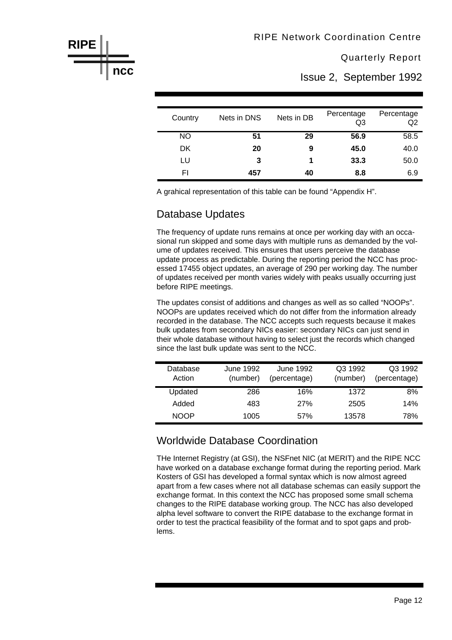Issue 2, September 1992

| Country | Nets in DNS | Nets in DB | Percentage<br>Q <sub>3</sub> | Percentage<br>Q <sub>2</sub> |
|---------|-------------|------------|------------------------------|------------------------------|
| NO.     | 51          | 29         | 56.9                         | 58.5                         |
| DK.     | 20          | 9          | 45.0                         | 40.0                         |
| LU      | 3           |            | 33.3                         | 50.0                         |
| FI      | 457         | 40         | 8.8                          | 6.9                          |

A grahical representation of this table can be found "Appendix H".

#### Database Updates

The frequency of update runs remains at once per working day with an occasional run skipped and some days with multiple runs as demanded by the volume of updates received. This ensures that users perceive the database update process as predictable. During the reporting period the NCC has processed 17455 object updates, an average of 290 per working day. The number of updates received per month varies widely with peaks usually occurring just before RIPE meetings.

The updates consist of additions and changes as well as so called "NOOPs". NOOPs are updates received which do not differ from the information already recorded in the database. The NCC accepts such requests because it makes bulk updates from secondary NICs easier: secondary NICs can just send in their whole database without having to select just the records which changed since the last bulk update was sent to the NCC.

| Database<br>Action | June 1992<br>(number) | June 1992<br>(percentage) | Q3 1992<br>(number) | Q3 1992<br>(percentage) |
|--------------------|-----------------------|---------------------------|---------------------|-------------------------|
| Updated            | 286                   | 16%                       | 1372                | 8%                      |
| Added              | 483                   | 27%                       | 2505                | 14%                     |
| <b>NOOP</b>        | 1005                  | .57%                      | 13578               | 78%                     |

#### Worldwide Database Coordination

THe Internet Registry (at GSI), the NSFnet NIC (at MERIT) and the RIPE NCC have worked on a database exchange format during the reporting period. Mark Kosters of GSI has developed a formal syntax which is now almost agreed apart from a few cases where not all database schemas can easily support the exchange format. In this context the NCC has proposed some small schema changes to the RIPE database working group. The NCC has also developed alpha level software to convert the RIPE database to the exchange format in order to test the practical feasibility of the format and to spot gaps and problems.

![](_page_12_Figure_11.jpeg)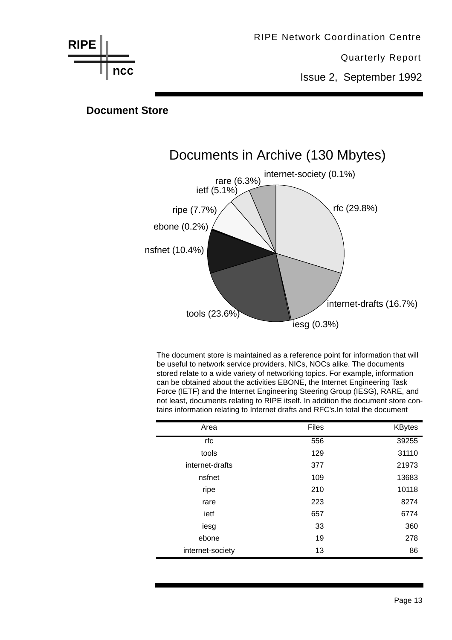![](_page_13_Figure_0.jpeg)

**Document Store**

![](_page_13_Figure_2.jpeg)

The document store is maintained as a reference point for information that will be useful to network service providers, NICs, NOCs alike. The documents stored relate to a wide variety of networking topics. For example, information can be obtained about the activities EBONE, the Internet Engineering Task Force (IETF) and the Internet Engineering Steering Group (IESG), RARE, and not least, documents relating to RIPE itself. In addition the document store contains information relating to Internet drafts and RFC's.In total the document

| Area             | Files | <b>KBytes</b> |
|------------------|-------|---------------|
| rfc              | 556   | 39255         |
| tools            | 129   | 31110         |
| internet-drafts  | 377   | 21973         |
| nsfnet           | 109   | 13683         |
| ripe             | 210   | 10118         |
| rare             | 223   | 8274          |
| ietf             | 657   | 6774          |
| iesg             | 33    | 360           |
| ebone            | 19    | 278           |
| internet-society | 13    | 86            |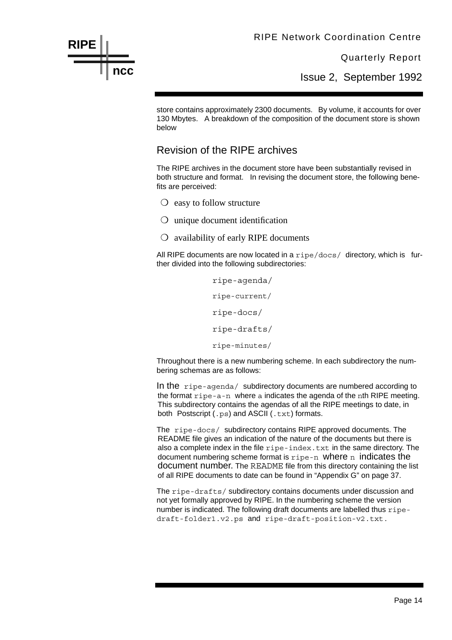Issue 2, September 1992

store contains approximately 2300 documents. By volume, it accounts for over 130 Mbytes. A breakdown of the composition of the document store is shown below

#### Revision of the RIPE archives

The RIPE archives in the document store have been substantially revised in both structure and format. In revising the document store, the following benefits are perceived:

❍ easy to follow structure

**RIPE**

**ncc**

- ❍ unique document identification
- ❍ availability of early RIPE documents

All RIPE documents are now located in a  $\pi$ ipe/docs/ directory, which is further divided into the following subdirectories:

> ripe-agenda/ ripe-current/ ripe-docs/ ripe-drafts/ ripe-minutes/

Throughout there is a new numbering scheme. In each subdirectory the numbering schemas are as follows:

In the ripe-agenda/ subdirectory documents are numbered according to the format ripe-a-n where a indicates the agenda of the nth RIPE meeting. This subdirectory contains the agendas of all the RIPE meetings to date, in both Postscript (.ps) and ASCII (.txt) formats.

The ripe-docs/ subdirectory contains RIPE approved documents. The README file gives an indication of the nature of the documents but there is also a complete index in the file ripe-index.txt in the same directory. The document numbering scheme format is  $ripe-n$  where n indicates the document number. The README file from this directory containing the list of all RIPE documents to date can be found in "Appendix G" on page 37.

The ripe-drafts/ subdirectory contains documents under discussion and not yet formally approved by RIPE. In the numbering scheme the version number is indicated. The following draft documents are labelled thus ripedraft-folder1.v2.ps and ripe-draft-position-v2.txt.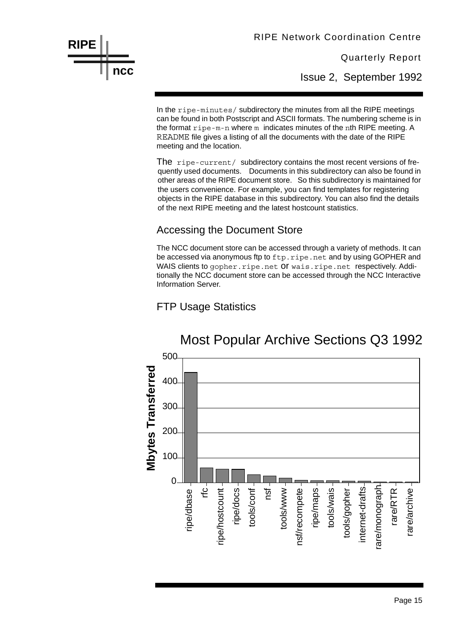Quarterly Report

Issue 2, September 1992

In the ripe-minutes/ subdirectory the minutes from all the RIPE meetings can be found in both Postscript and ASCII formats. The numbering scheme is in the format ripe-m-n where m indicates minutes of the nth RIPE meeting. A README file gives a listing of all the documents with the date of the RIPE meeting and the location.

The ripe-current/ subdirectory contains the most recent versions of frequently used documents. Documents in this subdirectory can also be found in other areas of the RIPE document store. So this subdirectory is maintained for the users convenience. For example, you can find templates for registering objects in the RIPE database in this subdirectory. You can also find the details of the next RIPE meeting and the latest hostcount statistics.

#### Accessing the Document Store

The NCC document store can be accessed through a variety of methods. It can be accessed via anonymous ftp to  $ftp$ . ripe.net and by using GOPHER and WAIS clients to gopher. ripe.net Of wais.ripe.net respectively. Additionally the NCC document store can be accessed through the NCC Interactive Information Server.

#### FTP Usage Statistics

**RIPE**

**ncc**

![](_page_15_Figure_8.jpeg)

## Most Popular Archive Sections Q3 1992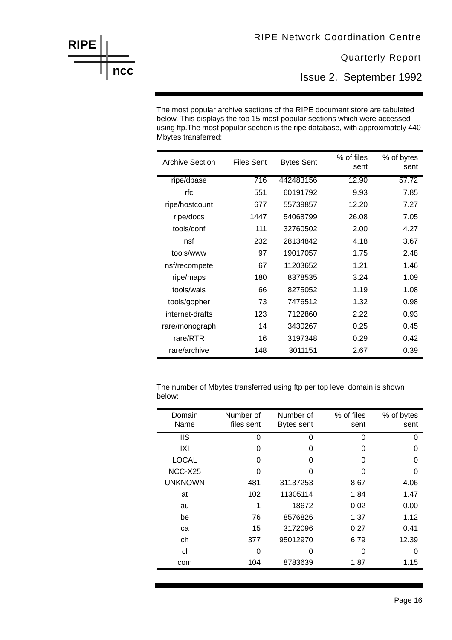Issue 2, September 1992

The most popular archive sections of the RIPE document store are tabulated below. This displays the top 15 most popular sections which were accessed using ftp. The most popular section is the ripe database, with approximately 440 Mbytes transferred:

| <b>Archive Section</b> | <b>Files Sent</b> | <b>Bytes Sent</b> | % of files<br>sent | % of bytes<br>sent |
|------------------------|-------------------|-------------------|--------------------|--------------------|
| ripe/dbase             | 716               | 442483156         | 12.90              | 57.72              |
| rfc                    | 551               | 60191792          | 9.93               | 7.85               |
| ripe/hostcount         | 677               | 55739857          | 12.20              | 7.27               |
| ripe/docs              | 1447              | 54068799          | 26.08              | 7.05               |
| tools/conf             | 111               | 32760502          | 2.00               | 4.27               |
| nsf                    | 232               | 28134842          | 4.18               | 3.67               |
| tools/www              | 97                | 19017057          | 1.75               | 2.48               |
| nsf/recompete          | 67                | 11203652          | 1.21               | 1.46               |
| ripe/maps              | 180               | 8378535           | 3.24               | 1.09               |
| tools/wais             | 66                | 8275052           | 1.19               | 1.08               |
| tools/gopher           | 73                | 7476512           | 1.32               | 0.98               |
| internet-drafts        | 123               | 7122860           | 2.22               | 0.93               |
| rare/monograph         | 14                | 3430267           | 0.25               | 0.45               |
| rare/RTR               | 16                | 3197348           | 0.29               | 0.42               |
| rare/archive           | 148               | 3011151           | 2.67               | 0.39               |

The number of Mbytes transferred using ftp per top level domain is shown below:

| Domain         | Number of  | Number of         | % of files | % of bytes |
|----------------|------------|-------------------|------------|------------|
| Name           | files sent | <b>Bytes sent</b> | sent       | sent       |
| <b>IIS</b>     | 0          | 0                 | 0          | 0          |
| IXI            | 0          | O                 | O          | O          |
| <b>LOCAL</b>   | 0          | O                 | O          | 0          |
| NCC-X25        | O          | O                 | O          | O          |
| <b>UNKNOWN</b> | 481        | 31137253          | 8.67       | 4.06       |
| at             | 102        | 11305114          | 1.84       | 1.47       |
| au             | 1          | 18672             | 0.02       | 0.00       |
| be             | 76         | 8576826           | 1.37       | 1.12       |
| ca             | 15         | 3172096           | 0.27       | 0.41       |
| ch             | 377        | 95012970          | 6.79       | 12.39      |
| cl             | 0          | ი                 | O          | O          |
| com            | 104        | 8783639           | 1.87       | 1.15       |
|                |            |                   |            |            |

**RIPE ncc** 

r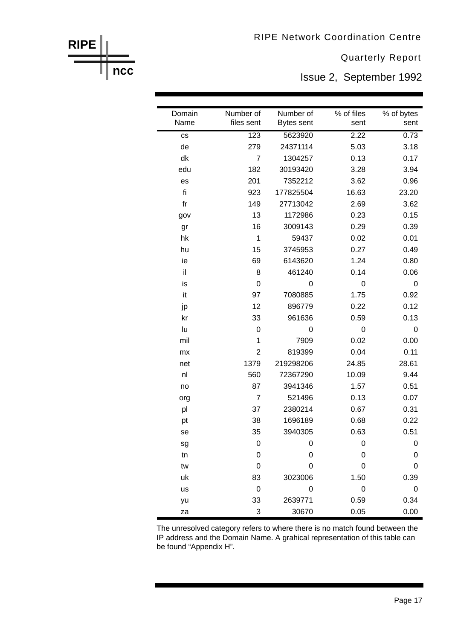**RIPE** 

**ncc** 

**Quarterly Report** 

Issue 2, September 1992

| Domain | Number of      | Number of  | % of files | % of bytes |
|--------|----------------|------------|------------|------------|
| Name   | files sent     | Bytes sent | sent       | sent       |
| CS     | 123            | 5623920    | 2.22       | 0.73       |
| de     | 279            | 24371114   | 5.03       | 3.18       |
| dk     | $\overline{7}$ | 1304257    | 0.13       | 0.17       |
| edu    | 182            | 30193420   | 3.28       | 3.94       |
| es     | 201            | 7352212    | 3.62       | 0.96       |
| fi     | 923            | 177825504  | 16.63      | 23.20      |
| $f$ r  | 149            | 27713042   | 2.69       | 3.62       |
| gov    | 13             | 1172986    | 0.23       | 0.15       |
| gr     | 16             | 3009143    | 0.29       | 0.39       |
| hk     | 1              | 59437      | 0.02       | 0.01       |
| hu     | 15             | 3745953    | 0.27       | 0.49       |
| ie     | 69             | 6143620    | 1.24       | 0.80       |
| il     | 8              | 461240     | 0.14       | 0.06       |
| is     | 0              | 0          | 0          | 0          |
| it     | 97             | 7080885    | 1.75       | 0.92       |
| jp     | 12             | 896779     | 0.22       | 0.12       |
| kr     | 33             | 961636     | 0.59       | 0.13       |
| lu     | 0              | 0          | 0          | 0          |
| mil    | 1              | 7909       | 0.02       | 0.00       |
| mx     | $\overline{2}$ | 819399     | 0.04       | 0.11       |
| net    | 1379           | 219298206  | 24.85      | 28.61      |
| nl     | 560            | 72367290   | 10.09      | 9.44       |
| no     | 87             | 3941346    | 1.57       | 0.51       |
| org    | 7              | 521496     | 0.13       | 0.07       |
| pl     | 37             | 2380214    | 0.67       | 0.31       |
| pt     | 38             | 1696189    | 0.68       | 0.22       |
| se     | 35             | 3940305    | 0.63       | 0.51       |
| sg     | 0              | 0          | 0          | U          |
| tn     | 0              | 0          | 0          | 0          |
| tw     | 0              | 0          | 0          | 0          |
| uk     | 83             | 3023006    | 1.50       | 0.39       |
| us     | 0              | 0          | 0          | 0          |
| yu     | 33             | 2639771    | 0.59       | 0.34       |
| za     | 3              | 30670      | 0.05       | 0.00       |

The unresolved category refers to where there is no match found between the IP address and the Domain Name. A grahical representation of this table can be found "Appendix H".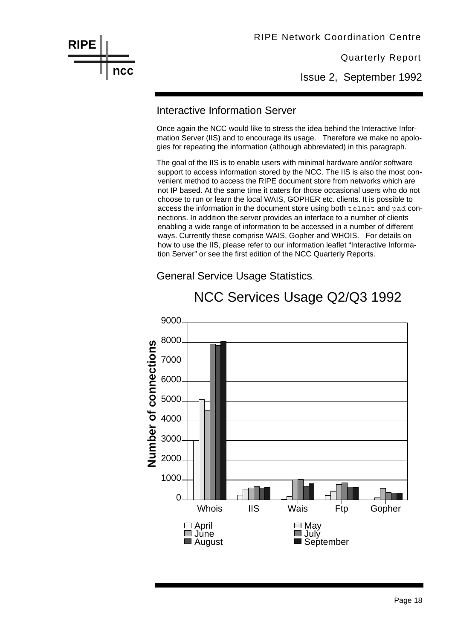**RIPE ncc** RIPE Network Coordination Centre

Quarterly Report

Issue 2, September 1992

#### Interactive Information Server

Once again the NCC would like to stress the idea behind the Interactive Information Server (IIS) and to encourage its usage. Therefore we make no apologies for repeating the information (although abbreviated) in this paragraph.

The goal of the IIS is to enable users with minimal hardware and/or software support to access information stored by the NCC. The IIS is also the most convenient method to access the RIPE document store from networks which are not IP based. At the same time it caters for those occasional users who do not choose to run or learn the local WAIS, GOPHER etc. clients. It is possible to access the information in the document store using both telnet and pad connections. In addition the server provides an interface to a number of clients enabling a wide range of information to be accessed in a number of different ways. Currently these comprise WAIS, Gopher and WHOIS. For details on how to use the IIS, please refer to our information leaflet "Interactive Information Server" or see the first edition of the NCC Quarterly Reports.

General Service Usage Statistics.

![](_page_18_Figure_8.jpeg)

## NCC Services Usage Q2/Q3 1992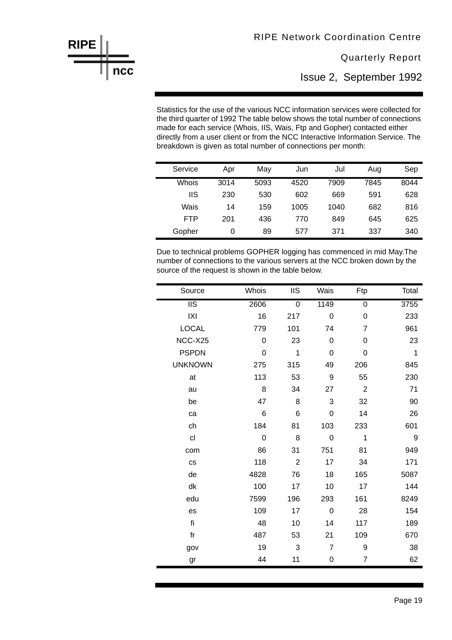**Quarterly Report** 

Issue 2, September 1992

Statistics for the use of the various NCC information services were collected for the third quarter of 1992 The table below shows the total number of connections made for each service (Whois, IIS, Wais, Ftp and Gopher) contacted either directly from a user client or from the NCC Interactive Information Service. The breakdown is given as total number of connections per month:

**RIPE** 

ncc

| Service    | Apr  | May  | Jun  | Jul  | Aug  | Sep  |
|------------|------|------|------|------|------|------|
| Whois      | 3014 | 5093 | 4520 | 7909 | 7845 | 8044 |
| IIS        | 230  | 530  | 602  | 669  | 591  | 628  |
| Wais       | 14   | 159  | 1005 | 1040 | 682  | 816  |
| <b>FTP</b> | 201  | 436  | 770  | 849  | 645  | 625  |
| Gopher     | 0    | 89   | 577  | 371  | 337  | 340  |

Due to technical problems GOPHER logging has commenced in mid May. The number of connections to the various servers at the NCC broken down by the source of the request is shown in the table below.

| Source                 | Whois | <b>IIS</b>     | Wais        | Ftp            | Total |
|------------------------|-------|----------------|-------------|----------------|-------|
| $\overline{\text{II}}$ | 2606  | $\mathbf 0$    | 1149        | 0              | 3755  |
| X                      | 16    | 217            | 0           | 0              | 233   |
| <b>LOCAL</b>           | 779   | 101            | 74          | 7              | 961   |
| NCC-X25                | 0     | 23             | 0           | 0              | 23    |
| <b>PSPDN</b>           | 0     | 1              | 0           | 0              | 1     |
| <b>UNKNOWN</b>         | 275   | 315            | 49          | 206            | 845   |
| at                     | 113   | 53             | 9           | 55             | 230   |
| au                     | 8     | 34             | 27          | $\overline{2}$ | 71    |
| be                     | 47    | 8              | 3           | 32             | 90    |
| ca                     | 6     | 6              | 0           | 14             | 26    |
| ch                     | 184   | 81             | 103         | 233            | 601   |
| cl                     | 0     | 8              | 0           | 1              | 9     |
| com                    | 86    | 31             | 751         | 81             | 949   |
| <b>CS</b>              | 118   | $\overline{2}$ | 17          | 34             | 171   |
| de                     | 4828  | 76             | 18          | 165            | 5087  |
| dk                     | 100   | 17             | 10          | 17             | 144   |
| edu                    | 7599  | 196            | 293         | 161            | 8249  |
| es                     | 109   | 17             | $\mathbf 0$ | 28             | 154   |
| fi                     | 48    | 10             | 14          | 117            | 189   |
| $f$ r                  | 487   | 53             | 21          | 109            | 670   |
| gov                    | 19    | 3              | 7           | 9              | 38    |
| gr                     | 44    | 11             | 0           | 7              | 62    |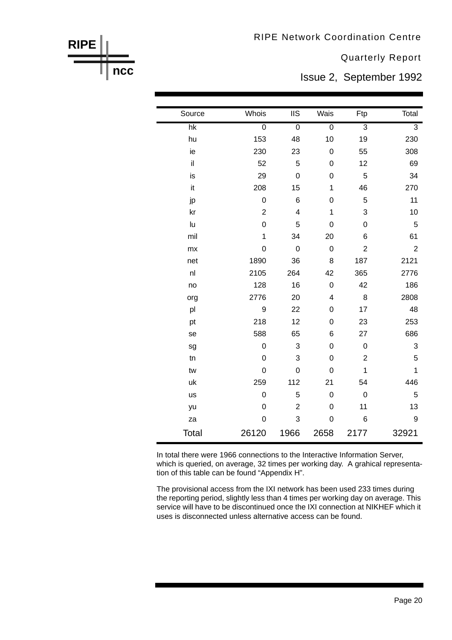**Quarterly Report** 

Issue 2, September 1992

| Source          | Whois            | <b>IIS</b>              | Wais           | Ftp            | Total          |
|-----------------|------------------|-------------------------|----------------|----------------|----------------|
| $\overline{hk}$ | $\overline{0}$   | $\overline{0}$          | $\overline{0}$ | $\overline{3}$ | $\overline{3}$ |
| hu              | 153              | 48                      | 10             | 19             | 230            |
| ie              | 230              | 23                      | $\mathbf 0$    | 55             | 308            |
| il              | 52               | 5                       | 0              | 12             | 69             |
| is              | 29               | $\mathbf 0$             | 0              | 5              | 34             |
| it              | 208              | 15                      | 1              | 46             | 270            |
| jp              | 0                | 6                       | 0              | 5              | 11             |
| kr              | $\overline{2}$   | $\overline{\mathbf{4}}$ | 1              | 3              | 10             |
| lu              | 0                | 5                       | 0              | 0              | 5              |
| mil             | $\mathbf{1}$     | 34                      | 20             | 6              | 61             |
| mx              | 0                | $\mathbf 0$             | $\mathbf 0$    | $\overline{2}$ | $\overline{2}$ |
| net             | 1890             | 36                      | 8              | 187            | 2121           |
| nl              | 2105             | 264                     | 42             | 365            | 2776           |
| no              | 128              | 16                      | $\mathbf 0$    | 42             | 186            |
| org             | 2776             | 20                      | 4              | 8              | 2808           |
| pl              | $\boldsymbol{9}$ | 22                      | 0              | 17             | 48             |
| pt              | 218              | 12                      | $\mathbf 0$    | 23             | 253            |
| se              | 588              | 65                      | 6              | 27             | 686            |
| sg              | $\mathbf 0$      | 3                       | 0              | $\mathbf 0$    | 3              |
| tn              | 0                | 3                       | 0              | $\overline{2}$ | 5              |
| tw              | 0                | $\overline{0}$          | 0              | $\mathbf 1$    | 1              |
| uk              | 259              | 112                     | 21             | 54             | 446            |
| us              | 0                | 5                       | $\mathbf 0$    | $\mathbf 0$    | 5              |
| yu              | 0                | $\overline{2}$          | $\mathbf 0$    | 11             | 13             |
| za              | 0                | 3                       | 0              | 6              | 9              |
| Total           | 26120            | 1966                    | 2658           | 2177           | 32921          |

**RIPE** 

ncc

In total there were 1966 connections to the Interactive Information Server, which is queried, on average, 32 times per working day. A grahical representation of this table can be found "Appendix H".

The provisional access from the IXI network has been used 233 times during the reporting period, slightly less than 4 times per working day on average. This service will have to be discontinued once the IXI connection at NIKHEF which it uses is disconnected unless alternative access can be found.

![](_page_20_Figure_6.jpeg)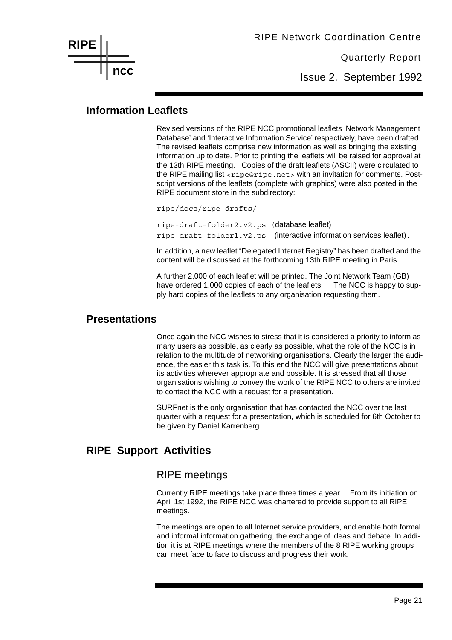![](_page_21_Picture_0.jpeg)

Issue 2, September 1992

#### **Information Leaflets**

Revised versions of the RIPE NCC promotional leaflets 'Network Management Database' and 'Interactive Information Service' respectively, have been drafted. The revised leaflets comprise new information as well as bringing the existing information up to date. Prior to printing the leaflets will be raised for approval at the 13th RIPE meeting. Copies of the draft leaflets (ASCII) were circulated to the RIPE mailing list <ripe@ripe.net> with an invitation for comments. Postscript versions of the leaflets (complete with graphics) were also posted in the RIPE document store in the subdirectory:

ripe/docs/ripe-drafts/

ripe-draft-folder2.v2.ps (database leaflet) ripe-draft-folder1.v2.ps (interactive information services leaflet).

In addition, a new leaflet "Delegated Internet Registry" has been drafted and the content will be discussed at the forthcoming 13th RIPE meeting in Paris.

A further 2,000 of each leaflet will be printed. The Joint Network Team (GB) have ordered 1,000 copies of each of the leaflets. The NCC is happy to supply hard copies of the leaflets to any organisation requesting them.

#### **Presentations**

Once again the NCC wishes to stress that it is considered a priority to inform as many users as possible, as clearly as possible, what the role of the NCC is in relation to the multitude of networking organisations. Clearly the larger the audience, the easier this task is. To this end the NCC will give presentations about its activities wherever appropriate and possible. It is stressed that all those organisations wishing to convey the work of the RIPE NCC to others are invited to contact the NCC with a request for a presentation.

SURFnet is the only organisation that has contacted the NCC over the last quarter with a request for a presentation, which is scheduled for 6th October to be given by Daniel Karrenberg.

#### **RIPE Support Activities**

#### RIPE meetings

Currently RIPE meetings take place three times a year. From its initiation on April 1st 1992, the RIPE NCC was chartered to provide support to all RIPE meetings.

The meetings are open to all Internet service providers, and enable both formal and informal information gathering, the exchange of ideas and debate. In addition it is at RIPE meetings where the members of the 8 RIPE working groups can meet face to face to discuss and progress their work.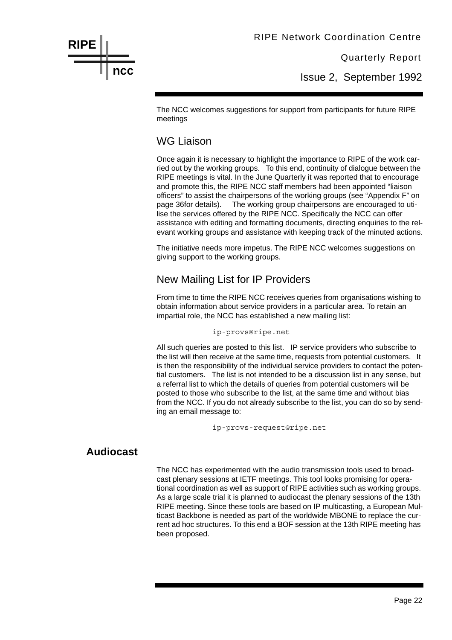Issue 2, September 1992

The NCC welcomes suggestions for support from participants for future RIPE meetings

#### WG Liaison

Once again it is necessary to highlight the importance to RIPE of the work carried out by the working groups. To this end, continuity of dialogue between the RIPE meetings is vital. In the June Quarterly it was reported that to encourage and promote this, the RIPE NCC staff members had been appointed "liaison officers" to assist the chairpersons of the working groups (see "Appendix F" on page 36for details). The working group chairpersons are encouraged to utilise the services offered by the RIPE NCC. Specifically the NCC can offer assistance with editing and formatting documents, directing enquiries to the relevant working groups and assistance with keeping track of the minuted actions.

The initiative needs more impetus. The RIPE NCC welcomes suggestions on giving support to the working groups.

#### New Mailing List for IP Providers

From time to time the RIPE NCC receives queries from organisations wishing to obtain information about service providers in a particular area. To retain an impartial role, the NCC has established a new mailing list:

ip-provs@ripe.net

All such queries are posted to this list. IP service providers who subscribe to the list will then receive at the same time, requests from potential customers. It is then the responsibility of the individual service providers to contact the potential customers. The list is not intended to be a discussion list in any sense, but a referral list to which the details of queries from potential customers will be posted to those who subscribe to the list, at the same time and without bias from the NCC. If you do not already subscribe to the list, you can do so by sending an email message to:

ip-provs-request@ripe.net

#### **Audiocast**

**RIPE**

**ncc**

The NCC has experimented with the audio transmission tools used to broadcast plenary sessions at IETF meetings. This tool looks promising for operational coordination as well as support of RIPE activities such as working groups. As a large scale trial it is planned to audiocast the plenary sessions of the 13th RIPE meeting. Since these tools are based on IP multicasting, a European Multicast Backbone is needed as part of the worldwide MBONE to replace the current ad hoc structures. To this end a BOF session at the 13th RIPE meeting has been proposed.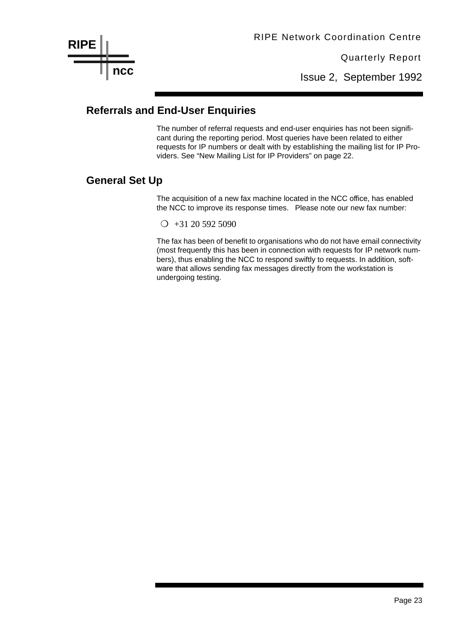Issue 2, September 1992

#### **Referrals and End-User Enquiries**

The number of referral requests and end-user enquiries has not been significant during the reporting period. Most queries have been related to either requests for IP numbers or dealt with by establishing the mailing list for IP Providers. See "New Mailing List for IP Providers" on page 22.

#### **General Set Up**

The acquisition of a new fax machine located in the NCC office, has enabled the NCC to improve its response times. Please note our new fax number:

 $\bigcirc$  +31 20 592 5090

The fax has been of benefit to organisations who do not have email connectivity (most frequently this has been in connection with requests for IP network numbers), thus enabling the NCC to respond swiftly to requests. In addition, software that allows sending fax messages directly from the workstation is undergoing testing.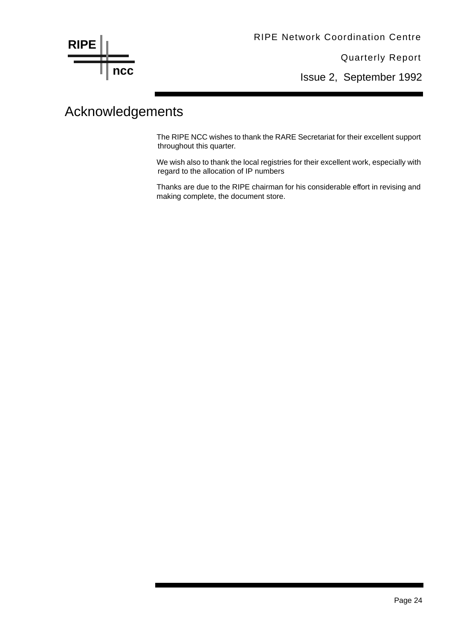**RIPE ncc**

Quarterly Report

Issue 2, September 1992

## Acknowledgements

The RIPE NCC wishes to thank the RARE Secretariat for their excellent support throughout this quarter.

We wish also to thank the local registries for their excellent work, especially with regard to the allocation of IP numbers

Thanks are due to the RIPE chairman for his considerable effort in revising and making complete, the document store.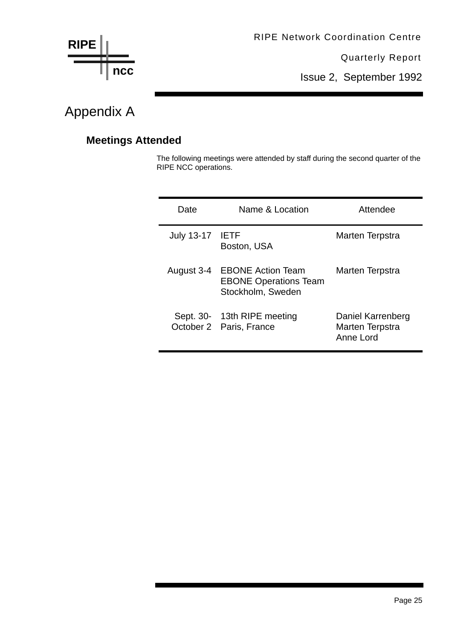![](_page_25_Figure_0.jpeg)

Issue 2, September 1992

## Appendix A

### **Meetings Attended**

The following meetings were attended by staff during the second quarter of the RIPE NCC operations.

| Date              | Name & Location                                                               | Attendee                                          |
|-------------------|-------------------------------------------------------------------------------|---------------------------------------------------|
| <b>July 13-17</b> | <b>IETF</b><br>Boston, USA                                                    | Marten Terpstra                                   |
| August 3-4        | <b>EBONE Action Team</b><br><b>EBONE Operations Team</b><br>Stockholm, Sweden | Marten Terpstra                                   |
|                   | Sept. 30- 13th RIPE meeting<br>October 2 Paris, France                        | Daniel Karrenberg<br>Marten Terpstra<br>Anne Lord |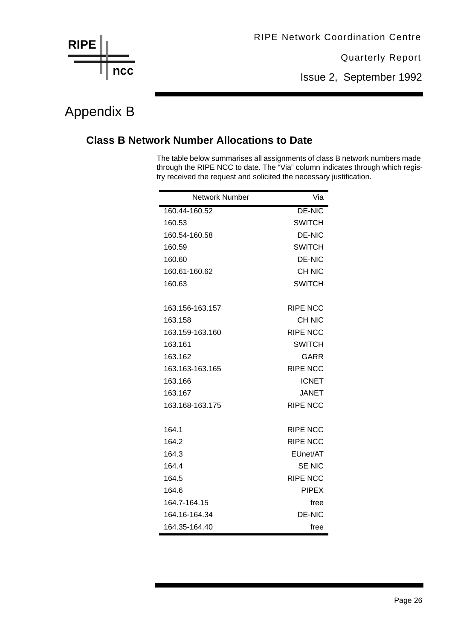![](_page_26_Figure_0.jpeg)

Issue 2, September 1992

## Appendix B

#### **Class B Network Number Allocations to Date**

The table below summarises all assignments of class B network numbers made through the RIPE NCC to date. The "Via" column indicates through which registry received the request and solicited the necessary justification.

| <b>Network Number</b> | Via             |
|-----------------------|-----------------|
| 160.44-160.52         | <b>DE-NIC</b>   |
| 160.53                | <b>SWITCH</b>   |
| 160.54-160.58         | <b>DE-NIC</b>   |
| 160.59                | <b>SWITCH</b>   |
| 160.60                | <b>DE-NIC</b>   |
| 160.61-160.62         | <b>CH NIC</b>   |
| 160.63                | <b>SWITCH</b>   |
|                       |                 |
| 163.156-163.157       | <b>RIPE NCC</b> |
| 163.158               | <b>CH NIC</b>   |
| 163.159-163.160       | <b>RIPE NCC</b> |
| 163.161               | <b>SWITCH</b>   |
| 163.162               | GARR            |
| 163.163-163.165       | <b>RIPE NCC</b> |
| 163.166               | <b>ICNET</b>    |
| 163.167               | <b>JANET</b>    |
| 163.168-163.175       | <b>RIPE NCC</b> |
|                       |                 |
| 164.1                 | <b>RIPE NCC</b> |
| 164.2                 | <b>RIPE NCC</b> |
| 164.3                 | EUnet/AT        |
| 164.4                 | <b>SE NIC</b>   |
| 164.5                 | <b>RIPE NCC</b> |
| 164.6                 | <b>PIPEX</b>    |
| 164.7-164.15          | free            |
| 164.16-164.34         | <b>DE-NIC</b>   |
| 164.35-164.40         | free            |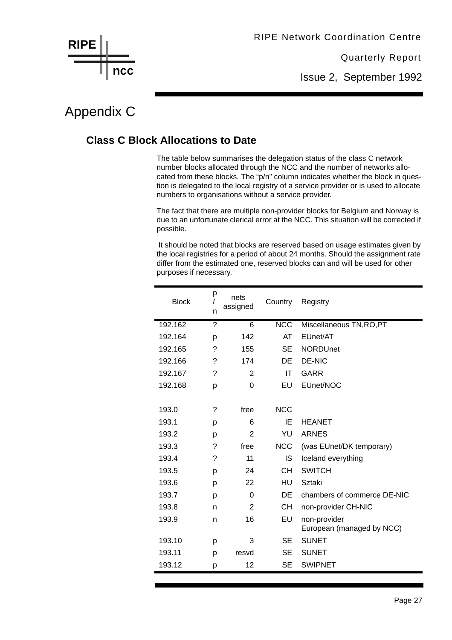Issue 2, September 1992

## Appendix C

**ncc**

**RIPE**

#### **Class C Block Allocations to Date**

The table below summarises the delegation status of the class C network number blocks allocated through the NCC and the number of networks allocated from these blocks. The "p/n" column indicates whether the block in question is delegated to the local registry of a service provider or is used to allocate numbers to organisations without a service provider.

The fact that there are multiple non-provider blocks for Belgium and Norway is due to an unfortunate clerical error at the NCC. This situation will be corrected if possible.

 It should be noted that blocks are reserved based on usage estimates given by the local registries for a period of about 24 months. Should the assignment rate differ from the estimated one, reserved blocks can and will be used for other purposes if necessary.

| <b>Block</b> | р<br>n | nets<br>assigned | Country    | Registry                    |
|--------------|--------|------------------|------------|-----------------------------|
| 192.162      | ?      | 6                | NCC        | Miscellaneous TN, RO, PT    |
| 192.164      | p      | 142              | AT         | EUnet/AT                    |
| 192.165      | ?      | 155              | <b>SE</b>  | <b>NORDUnet</b>             |
| 192.166      | ?      | 174              | DE         | <b>DE-NIC</b>               |
| 192.167      | ?      | $\overline{2}$   | IT         | <b>GARR</b>                 |
| 192.168      | р      | $\Omega$         | EU         | EUnet/NOC                   |
|              |        |                  |            |                             |
| 193.0        | ?      | free             | <b>NCC</b> |                             |
| 193.1        | р      | 6                | ΙE         | <b>HEANET</b>               |
| 193.2        | p      | $\overline{2}$   | YU         | <b>ARNES</b>                |
| 193.3        | ?      | free             | <b>NCC</b> | (was EUnet/DK temporary)    |
| 193.4        | ?      | 11               | IS         | Iceland everything          |
| 193.5        | р      | 24               | CН         | <b>SWITCH</b>               |
| 193.6        | p      | 22               | HU         | Sztaki                      |
| 193.7        | р      | $\Omega$         | DE         | chambers of commerce DE-NIC |
| 193.8        | n      | 2                | <b>CH</b>  | non-provider CH-NIC         |
| 193.9        | n      | 16               | EU         | non-provider                |
|              |        |                  |            | European (managed by NCC)   |
| 193.10       | р      | 3                | <b>SE</b>  | <b>SUNET</b>                |
| 193.11       | р      | resvd            | SE         | <b>SUNET</b>                |
| 193.12       | р      | 12               | SE         | <b>SWIPNET</b>              |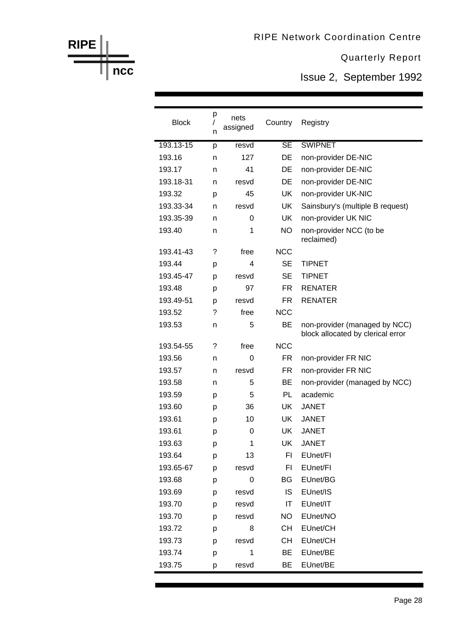Issue 2, September 1992

| <b>Block</b> | р<br>n | nets<br>assigned | Country                | Registry                                                           |
|--------------|--------|------------------|------------------------|--------------------------------------------------------------------|
| 193.13-15    | p      | resvd            | $\overline{\text{SE}}$ | <b>SWIPNET</b>                                                     |
| 193.16       | n      | 127              | DE                     | non-provider DE-NIC                                                |
| 193.17       | n      | 41               | DE                     | non-provider DE-NIC                                                |
| 193.18-31    | n      | resvd            | DE                     | non-provider DE-NIC                                                |
| 193.32       | p      | 45               | <b>UK</b>              | non-provider UK-NIC                                                |
| 193.33-34    | n      | resvd            | <b>UK</b>              | Sainsbury's (multiple B request)                                   |
| 193.35-39    | n      | 0                | <b>UK</b>              | non-provider UK NIC                                                |
| 193.40       | n      | 1                | NO.                    | non-provider NCC (to be<br>reclaimed)                              |
| 193.41-43    | ?      | free             | <b>NCC</b>             |                                                                    |
| 193.44       | р      | 4                | <b>SE</b>              | <b>TIPNET</b>                                                      |
| 193.45-47    | p      | resvd            | <b>SE</b>              | <b>TIPNET</b>                                                      |
| 193.48       | р      | 97               | FR.                    | <b>RENATER</b>                                                     |
| 193.49-51    | р      | resvd            | <b>FR</b>              | <b>RENATER</b>                                                     |
| 193.52       | ?      | free             | <b>NCC</b>             |                                                                    |
| 193.53       | n      | 5                | <b>BE</b>              | non-provider (managed by NCC)<br>block allocated by clerical error |
| 193.54-55    | ?      | free             | <b>NCC</b>             |                                                                    |
| 193.56       | n      | 0                | <b>FR</b>              | non-provider FR NIC                                                |
| 193.57       | n      | resvd            | FR.                    | non-provider FR NIC                                                |
| 193.58       | n      | 5                | BE                     | non-provider (managed by NCC)                                      |
| 193.59       | p      | 5                | PL                     | academic                                                           |
| 193.60       | p      | 36               | UK                     | <b>JANET</b>                                                       |
| 193.61       | р      | 10               | <b>UK</b>              | <b>JANET</b>                                                       |
| 193.61       | р      | 0                | UK                     | <b>JANET</b>                                                       |
| 193.63       | р      | 1                | UK                     | <b>JANET</b>                                                       |
| 193.64       | р      | 13               | FI                     | EUnet/FI                                                           |
| 193.65-67    | p      | resvd            | F <sub>1</sub>         | EUnet/FI                                                           |
| 193.68       | p      | 0                | BG                     | EUnet/BG                                                           |
| 193.69       | p      | resvd            | IS                     | EUnet/IS                                                           |
| 193.70       | p      | resvd            | IT                     | EUnet/IT                                                           |
| 193.70       | p      | resvd            | <b>NO</b>              | EUnet/NO                                                           |
| 193.72       | р      | 8                | <b>CH</b>              | EUnet/CH                                                           |
| 193.73       | p      | resvd            | CН                     | EUnet/CH                                                           |
| 193.74       | p      | 1                | BE                     | EUnet/BE                                                           |
| 193.75       | р      | resvd            | BE                     | EUnet/BE                                                           |

**RIPE**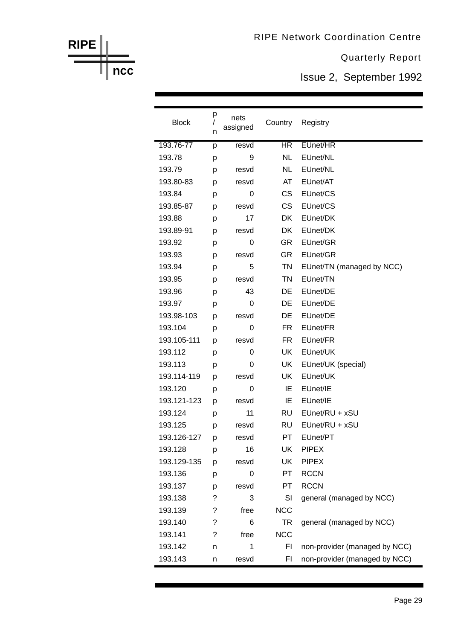Issue 2, September 1992

| <b>Block</b> | р<br>I<br>n | nets<br>assigned | Country        | Registry                      |
|--------------|-------------|------------------|----------------|-------------------------------|
| 193.76-77    | p           | resvd            | <b>HR</b>      | EUnet/HR                      |
| 193.78       | р           | 9                | <b>NL</b>      | EUnet/NL                      |
| 193.79       | р           | resvd            | <b>NL</b>      | EUnet/NL                      |
| 193.80-83    | p           | resvd            | AT             | EUnet/AT                      |
| 193.84       | р           | 0                | <b>CS</b>      | EUnet/CS                      |
| 193.85-87    | p           | resvd            | <b>CS</b>      | EUnet/CS                      |
| 193.88       | p           | 17               | DK             | EUnet/DK                      |
| 193.89-91    | p           | resvd            | DK             | EUnet/DK                      |
| 193.92       | р           | 0                | <b>GR</b>      | EUnet/GR                      |
| 193.93       | p           | resvd            | <b>GR</b>      | EUnet/GR                      |
| 193.94       | р           | 5                | <b>TN</b>      | EUnet/TN (managed by NCC)     |
| 193.95       | р           | resvd            | TN             | EUnet/TN                      |
| 193.96       | p           | 43               | DE             | EUnet/DE                      |
| 193.97       | р           | 0                | DE             | EUnet/DE                      |
| 193.98-103   | p           | resvd            | DE             | EUnet/DE                      |
| 193.104      | р           | 0                | FR.            | EUnet/FR                      |
| 193.105-111  | p           | resvd            | FR.            | EUnet/FR                      |
| 193.112      | p           | 0                | UK             | EUnet/UK                      |
| 193.113      | р           | 0                | UK             | EUnet/UK (special)            |
| 193.114-119  | p           | resvd            | UK             | EUnet/UK                      |
| 193.120      | p           | 0                | IE             | EUnet/IE                      |
| 193.121-123  | p           | resvd            | IE             | EUnet/IE                      |
| 193.124      | р           | 11               | <b>RU</b>      | EUnet/RU + xSU                |
| 193.125      | p           | resvd            | <b>RU</b>      | EUnet/RU + xSU                |
| 193.126-127  | p           | resvd            | PT.            | EUnet/PT                      |
| 193.128      | р           | 16               | UK             | <b>PIPEX</b>                  |
| 193.129-135  | р           | resvd            | UK             | <b>PIPEX</b>                  |
| 193.136      | р           | 0                | PT             | <b>RCCN</b>                   |
| 193.137      | р           | resvd            | PT             | <b>RCCN</b>                   |
| 193.138      | ?           | 3                | SI             | general (managed by NCC)      |
| 193.139      | ?           | free             | <b>NCC</b>     |                               |
| 193.140      | ?           | 6                | <b>TR</b>      | general (managed by NCC)      |
| 193.141      | ?           | free             | <b>NCC</b>     |                               |
| 193.142      | n           | 1                | F <sub>1</sub> | non-provider (managed by NCC) |
| 193.143      | n           | resvd            | FI             | non-provider (managed by NCC) |

**ncc**

**RIPE**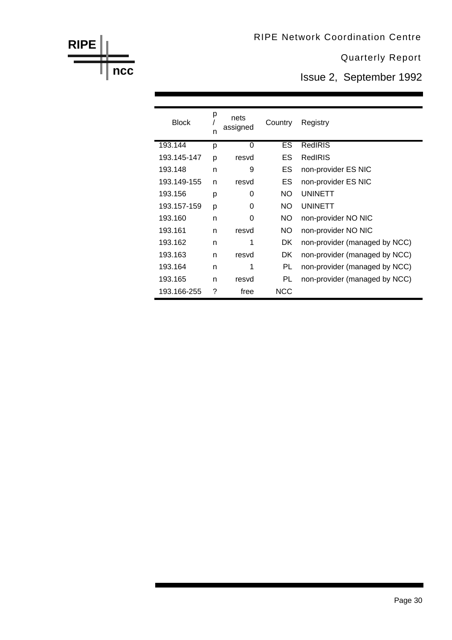Issue 2, September 1992

| <b>Block</b> | р<br>n | nets<br>assigned | Country    | Registry                      |
|--------------|--------|------------------|------------|-------------------------------|
| 193.144      | р      | 0                | ES.        | RedIRIS                       |
| 193.145-147  | p      | resvd            | ES.        | RedIRIS                       |
| 193.148      | n      | 9                | ES         | non-provider ES NIC           |
| 193.149-155  | n      | resvd            | ES         | non-provider ES NIC           |
| 193.156      | р      | 0                | NO.        | <b>UNINETT</b>                |
| 193.157-159  | p      | 0                | NO.        | <b>UNINETT</b>                |
| 193.160      | n      | 0                | NO.        | non-provider NO NIC           |
| 193.161      | n      | resvd            | NO.        | non-provider NO NIC           |
| 193.162      | n      | 1                | DK.        | non-provider (managed by NCC) |
| 193.163      | n      | resvd            | DK         | non-provider (managed by NCC) |
| 193.164      | n      | 1                | <b>PL</b>  | non-provider (managed by NCC) |
| 193.165      | n      | resvd            | PL         | non-provider (managed by NCC) |
| 193.166-255  | ?      | free             | <b>NCC</b> |                               |

**RIPE**

**ncc**

#### Page 30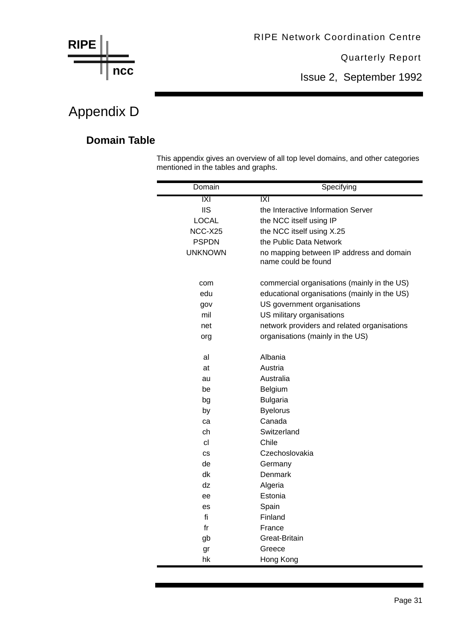![](_page_31_Figure_0.jpeg)

Issue 2, September 1992

## Appendix D

#### **Domain Table**

This appendix gives an overview of all top level domains, and other categories mentioned in the tables and graphs.

| Domain         | Specifying                                                      |
|----------------|-----------------------------------------------------------------|
| X              | $\overline{ \mathsf{X} }$                                       |
| <b>IIS</b>     | the Interactive Information Server                              |
| <b>LOCAL</b>   | the NCC itself using IP                                         |
| NCC-X25        | the NCC itself using X.25                                       |
| <b>PSPDN</b>   | the Public Data Network                                         |
| <b>UNKNOWN</b> | no mapping between IP address and domain<br>name could be found |
| com            | commercial organisations (mainly in the US)                     |
| edu            | educational organisations (mainly in the US)                    |
| gov            | US government organisations                                     |
| mil            | US military organisations                                       |
| net            | network providers and related organisations                     |
| org            | organisations (mainly in the US)                                |
| al             | Albania                                                         |
| at             | Austria                                                         |
| au             | Australia                                                       |
| be             | Belgium                                                         |
| bg             | <b>Bulgaria</b>                                                 |
| by             | <b>Byelorus</b>                                                 |
| ca             | Canada                                                          |
| ch             | Switzerland                                                     |
| cl             | Chile                                                           |
| <b>CS</b>      | Czechoslovakia                                                  |
| de             | Germany                                                         |
| dk             | Denmark                                                         |
| dz             | Algeria                                                         |
| ee             | Estonia                                                         |
| es             | Spain                                                           |
| fi             | Finland                                                         |
| fr             | France                                                          |
| gb             | Great-Britain                                                   |
| gr             | Greece                                                          |
| hk             | Hong Kong                                                       |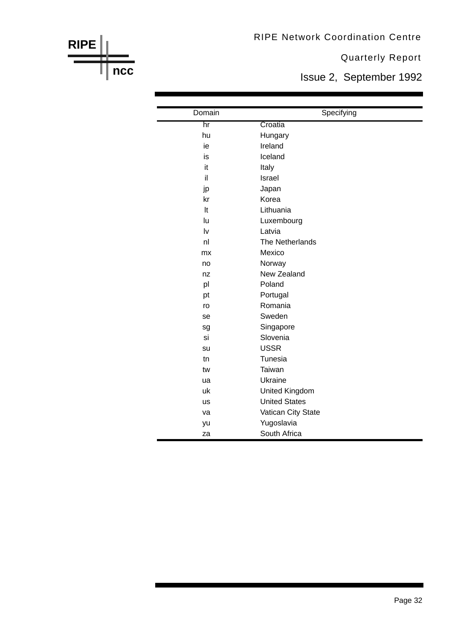#### Quarterly Report

Issue 2, September 1992

| Domain         | Specifying           |
|----------------|----------------------|
| hr             | Croatia              |
| hu             | Hungary              |
| ie             | Ireland              |
| is             | Iceland              |
| it             | Italy                |
| il             | Israel               |
| jp             | Japan                |
| kr             | Korea                |
| It             | Lithuania            |
| lu             | Luxembourg           |
| Iv             | Latvia               |
| n <sub>l</sub> | The Netherlands      |
| mx             | Mexico               |
| no             | Norway               |
| nz             | New Zealand          |
| pl             | Poland               |
| pt             | Portugal             |
| ro             | Romania              |
| se             | Sweden               |
| sg             | Singapore            |
| si             | Slovenia             |
| su             | <b>USSR</b>          |
| tn             | Tunesia              |
| tw             | Taiwan               |
| ua             | Ukraine              |
| uk             | United Kingdom       |
| <b>us</b>      | <b>United States</b> |
| va             | Vatican City State   |
| yu             | Yugoslavia           |
| za             | South Africa         |

**RIPE**

**ncc**

Page 32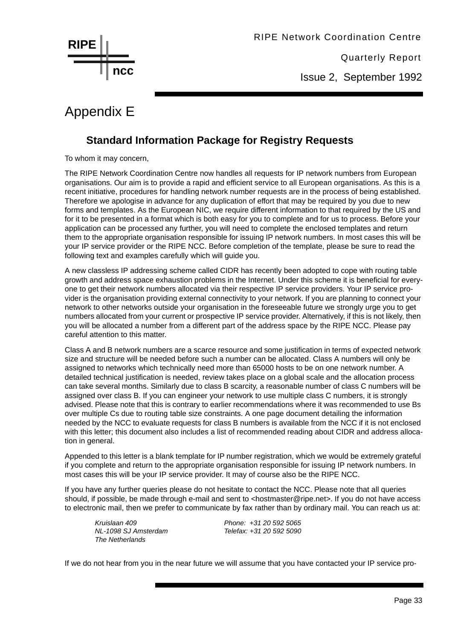![](_page_33_Picture_0.jpeg)

Issue 2, September 1992

## Appendix E

#### **Standard Information Package for Registry Requests**

To whom it may concern,

The RIPE Network Coordination Centre now handles all requests for IP network numbers from European organisations. Our aim is to provide a rapid and efficient service to all European organisations. As this is a recent initiative, procedures for handling network number requests are in the process of being established. Therefore we apologise in advance for any duplication of effort that may be required by you due to new forms and templates. As the European NIC, we require different information to that required by the US and for it to be presented in a format which is both easy for you to complete and for us to process. Before your application can be processed any further, you will need to complete the enclosed templates and return them to the appropriate organisation responsible for issuing IP network numbers. In most cases this will be your IP service provider or the RIPE NCC. Before completion of the template, please be sure to read the following text and examples carefully which will guide you.

A new classless IP addressing scheme called CIDR has recently been adopted to cope with routing table growth and address space exhaustion problems in the Internet. Under this scheme it is beneficial for everyone to get their network numbers allocated via their respective IP service providers. Your IP service provider is the organisation providing external connectivity to your network. If you are planning to connect your network to other networks outside your organisation in the foreseeable future we strongly urge you to get numbers allocated from your current or prospective IP service provider. Alternatively, if this is not likely, then you will be allocated a number from a different part of the address space by the RIPE NCC. Please pay careful attention to this matter.

Class A and B network numbers are a scarce resource and some justification in terms of expected network size and structure will be needed before such a number can be allocated. Class A numbers will only be assigned to networks which technically need more than 65000 hosts to be on one network number. A detailed technical justification is needed, review takes place on a global scale and the allocation process can take several months. Similarly due to class B scarcity, a reasonable number of class C numbers will be assigned over class B. If you can engineer your network to use multiple class C numbers, it is strongly advised. Please note that this is contrary to earlier recommendations where it was recommended to use Bs over multiple Cs due to routing table size constraints. A one page document detailing the information needed by the NCC to evaluate requests for class B numbers is available from the NCC if it is not enclosed with this letter; this document also includes a list of recommended reading about CIDR and address allocation in general.

Appended to this letter is a blank template for IP number registration, which we would be extremely grateful if you complete and return to the appropriate organisation responsible for issuing IP network numbers. In most cases this will be your IP service provider. It may of course also be the RIPE NCC.

If you have any further queries please do not hesitate to contact the NCC. Please note that all queries should, if possible, be made through e-mail and sent to <hostmaster@ripe.net>. If you do not have access to electronic mail, then we prefer to communicate by fax rather than by ordinary mail. You can reach us at:

*The Netherlands*

*Kruislaan 409 Phone: +31 20 592 5065 NL-1098 SJ Amsterdam Telefax: +31 20 592 5090*

If we do not hear from you in the near future we will assume that you have contacted your IP service pro-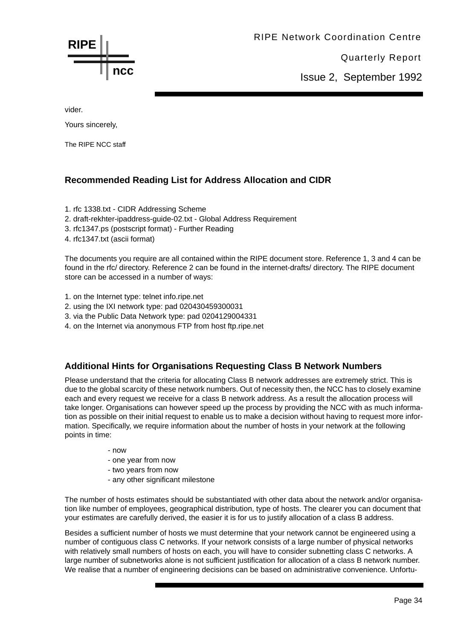**RIPE ncc** RIPE Network Coordination Centre

Quarterly Report

Issue 2, September 1992

vider.

Yours sincerely,

The RIPE NCC staff

#### **Recommended Reading List for Address Allocation and CIDR**

- 1. rfc 1338.txt CIDR Addressing Scheme
- 2. draft-rekhter-ipaddress-guide-02.txt Global Address Requirement
- 3. rfc1347.ps (postscript format) Further Reading
- 4. rfc1347.txt (ascii format)

The documents you require are all contained within the RIPE document store. Reference 1, 3 and 4 can be found in the rfc/ directory. Reference 2 can be found in the internet-drafts/ directory. The RIPE document store can be accessed in a number of ways:

- 1. on the Internet type: telnet info.ripe.net
- 2. using the IXI network type: pad 020430459300031
- 3. via the Public Data Network type: pad 0204129004331
- 4. on the Internet via anonymous FTP from host ftp.ripe.net

#### **Additional Hints for Organisations Requesting Class B Network Numbers**

Please understand that the criteria for allocating Class B network addresses are extremely strict. This is due to the global scarcity of these network numbers. Out of necessity then, the NCC has to closely examine each and every request we receive for a class B network address. As a result the allocation process will take longer. Organisations can however speed up the process by providing the NCC with as much information as possible on their initial request to enable us to make a decision without having to request more information. Specifically, we require information about the number of hosts in your network at the following points in time:

- now
- one year from now
- two years from now
- any other significant milestone

The number of hosts estimates should be substantiated with other data about the network and/or organisation like number of employees, geographical distribution, type of hosts. The clearer you can document that your estimates are carefully derived, the easier it is for us to justify allocation of a class B address.

Besides a sufficient number of hosts we must determine that your network cannot be engineered using a number of contiguous class C networks. If your network consists of a large number of physical networks with relatively small numbers of hosts on each, you will have to consider subnetting class C networks. A large number of subnetworks alone is not sufficient justification for allocation of a class B network number. We realise that a number of engineering decisions can be based on administrative convenience. Unfortu-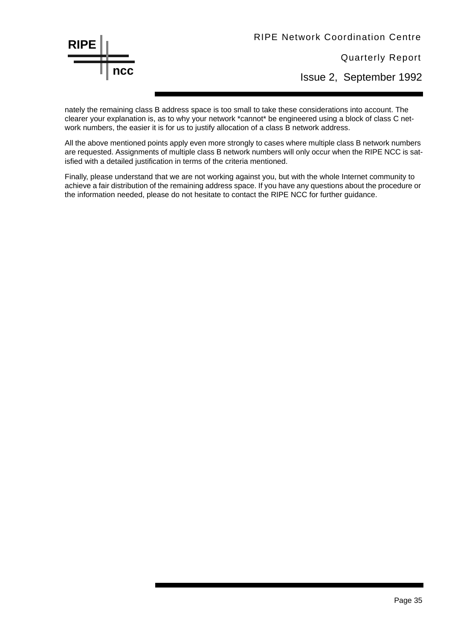![](_page_35_Picture_0.jpeg)

Quarterly Report

Issue 2, September 1992

nately the remaining class B address space is too small to take these considerations into account. The clearer your explanation is, as to why your network \*cannot\* be engineered using a block of class C network numbers, the easier it is for us to justify allocation of a class B network address.

All the above mentioned points apply even more strongly to cases where multiple class B network numbers are requested. Assignments of multiple class B network numbers will only occur when the RIPE NCC is satisfied with a detailed justification in terms of the criteria mentioned.

Finally, please understand that we are not working against you, but with the whole Internet community to achieve a fair distribution of the remaining address space. If you have any questions about the procedure or the information needed, please do not hesitate to contact the RIPE NCC for further guidance.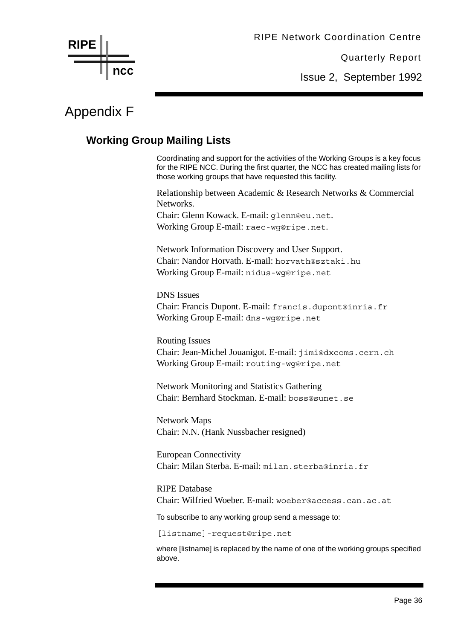Quarterly Report

Issue 2, September 1992

## Appendix F

**ncc**

**RIPE**

#### **Working Group Mailing Lists**

Coordinating and support for the activities of the Working Groups is a key focus for the RIPE NCC. During the first quarter, the NCC has created mailing lists for those working groups that have requested this facility.

Relationship between Academic & Research Networks & Commercial Networks.

Chair: Glenn Kowack. E-mail: glenn@eu.net. Working Group E-mail: raec-wg@ripe.net.

Network Information Discovery and User Support. Chair: Nandor Horvath. E-mail: horvath@sztaki.hu Working Group E-mail: nidus-wg@ripe.net

DNS Issues Chair: Francis Dupont. E-mail: francis.dupont@inria.fr Working Group E-mail: dns-wg@ripe.net

Routing Issues Chair: Jean-Michel Jouanigot. E-mail: jimi@dxcoms.cern.ch Working Group E-mail: routing-wg@ripe.net

Network Monitoring and Statistics Gathering Chair: Bernhard Stockman. E-mail: boss@sunet.se

Network Maps Chair: N.N. (Hank Nussbacher resigned)

European Connectivity Chair: Milan Sterba. E-mail: milan.sterba@inria.fr

RIPE Database Chair: Wilfried Woeber. E-mail: woeber@access.can.ac.at

To subscribe to any working group send a message to:

[listname]-request@ripe.net

where [listname] is replaced by the name of one of the working groups specified above.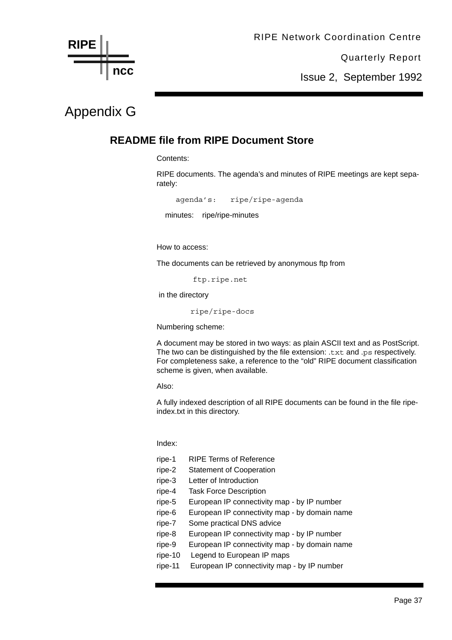![](_page_37_Figure_0.jpeg)

Issue 2, September 1992

## Appendix G

#### **README file from RIPE Document Store**

Contents:

RIPE documents. The agenda's and minutes of RIPE meetings are kept separately:

agenda's: ripe/ripe-agenda minutes: ripe/ripe-minutes

How to access:

The documents can be retrieved by anonymous ftp from

ftp.ripe.net

in the directory

ripe/ripe-docs

Numbering scheme:

A document may be stored in two ways: as plain ASCII text and as PostScript. The two can be distinguished by the file extension: .txt and .ps respectively. For completeness sake, a reference to the "old" RIPE document classification scheme is given, when available.

Also:

A fully indexed description of all RIPE documents can be found in the file ripeindex.txt in this directory.

Index:

| ripe-1  | <b>RIPE Terms of Reference</b>                |
|---------|-----------------------------------------------|
| ripe-2  | <b>Statement of Cooperation</b>               |
| ripe-3  | Letter of Introduction                        |
| ripe-4  | <b>Task Force Description</b>                 |
| ripe-5  | European IP connectivity map - by IP number   |
| ripe-6  | European IP connectivity map - by domain name |
| ripe-7  | Some practical DNS advice                     |
| ripe-8  | European IP connectivity map - by IP number   |
| ripe-9  | European IP connectivity map - by domain name |
| ripe-10 | Legend to European IP maps                    |
| ripe-11 | European IP connectivity map - by IP number   |
|         |                                               |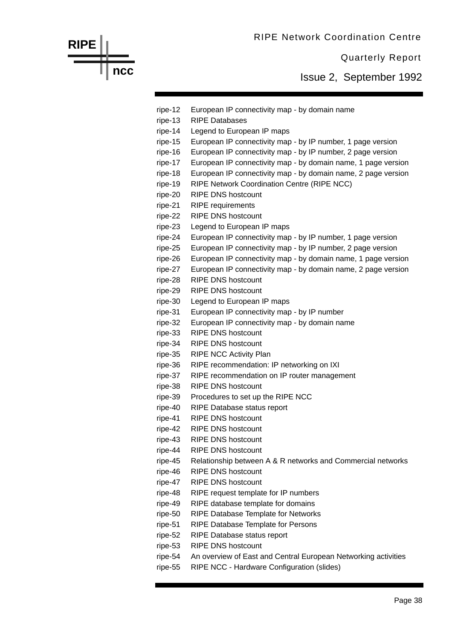![](_page_38_Figure_0.jpeg)

**RIPE**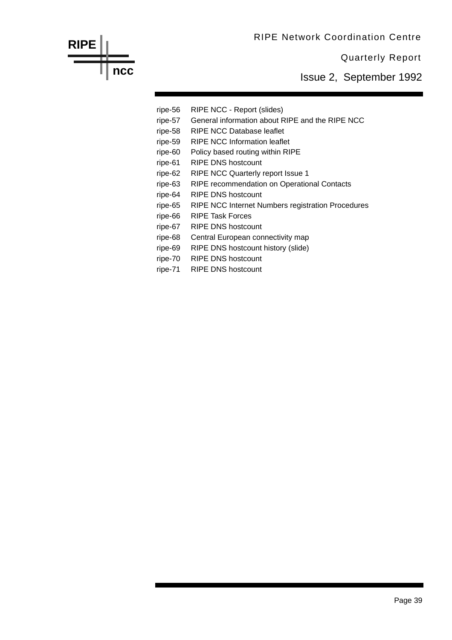![](_page_39_Figure_0.jpeg)

Issue 2, September 1992

ripe-56 RIPE NCC - Report (slides) ripe-57 General information about RIPE and the RIPE NCC ripe-58 RIPE NCC Database leaflet ripe-59 RIPE NCC Information leaflet ripe-60 Policy based routing within RIPE ripe-61 RIPE DNS hostcount ripe-62 RIPE NCC Quarterly report Issue 1 ripe-63 RIPE recommendation on Operational Contacts ripe-64 RIPE DNS hostcount ripe-65 RIPE NCC Internet Numbers registration Procedures ripe-66 RIPE Task Forces ripe-67 RIPE DNS hostcount ripe-68 Central European connectivity map ripe-69 RIPE DNS hostcount history (slide) ripe-70 RIPE DNS hostcount ripe-71 RIPE DNS hostcount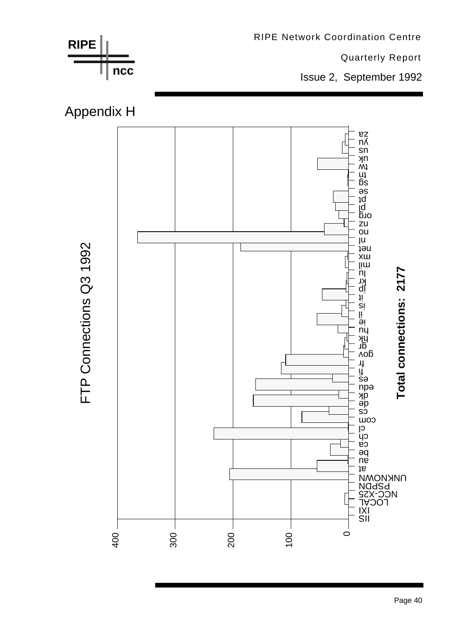![](_page_40_Figure_0.jpeg)

Page 40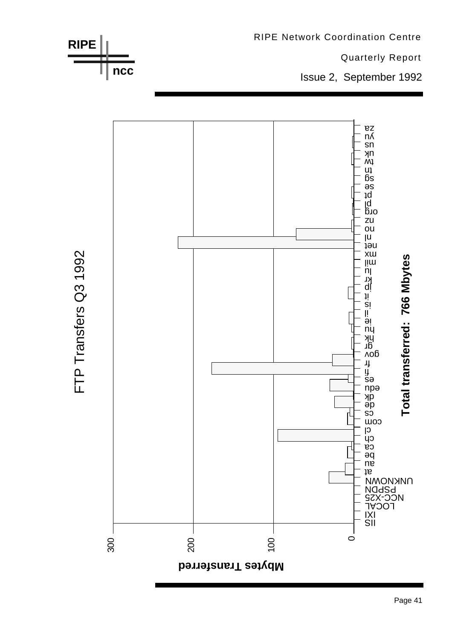![](_page_41_Figure_0.jpeg)

![](_page_41_Figure_1.jpeg)

FTP Transfers Q3 1992

**RIPE**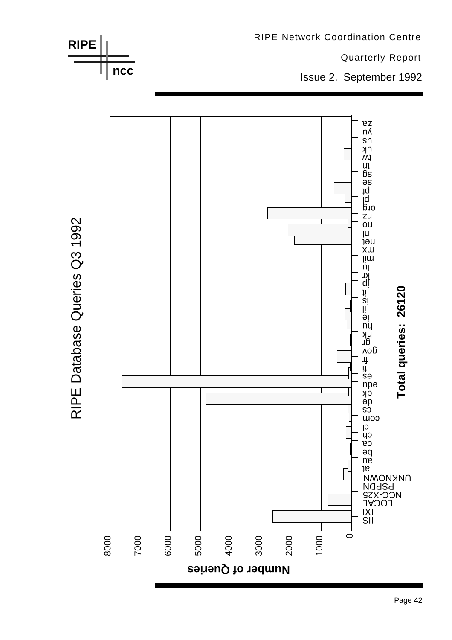![](_page_42_Figure_0.jpeg)

RIPE Database Queries Q3 1992

Page 42

**RIPE Network Coordination Centre**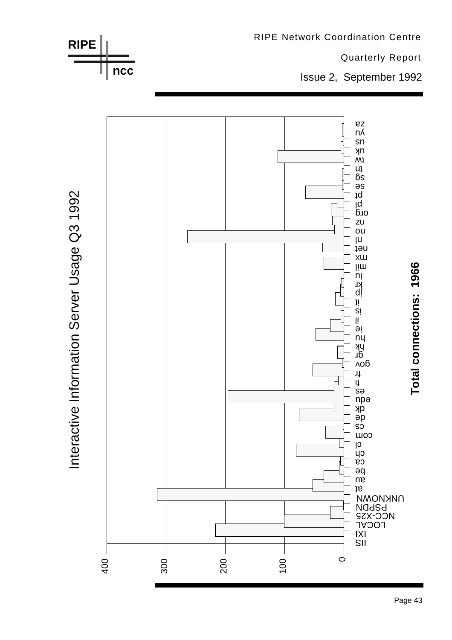![](_page_43_Figure_0.jpeg)

Page 43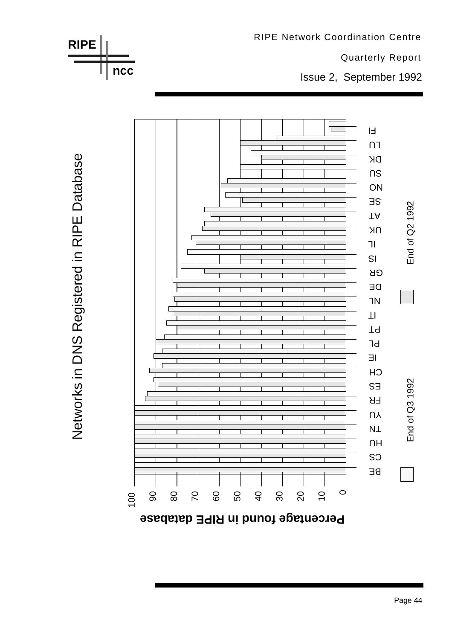![](_page_44_Figure_0.jpeg)

**Percentage found in RIPE database**

RIPE Network Coordination Centre